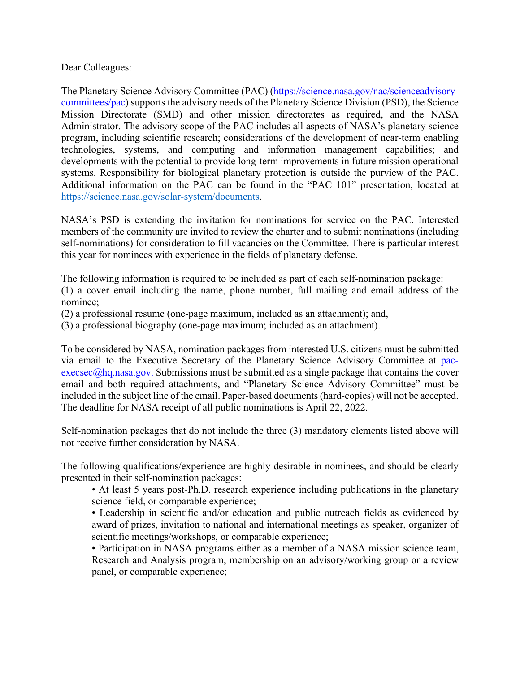Dear Colleagues:

The Planetary Science Advisory Committee (PAC) (https://science.nasa.gov/nac/scienceadvisorycommittees/pac) supports the advisory needs of the Planetary Science Division (PSD), the Science Mission Directorate (SMD) and other mission directorates as required, and the NASA Administrator. The advisory scope of the PAC includes all aspects of NASA's planetary science program, including scientific research; considerations of the development of near-term enabling technologies, systems, and computing and information management capabilities; and developments with the potential to provide long-term improvements in future mission operational systems. Responsibility for biological planetary protection is outside the purview of the PAC. Additional information on the PAC can be found in the "PAC 101" presentation, located at https://science.nasa.gov/solar-system/documents.

NASA's PSD is extending the invitation for nominations for service on the PAC. Interested members of the community are invited to review the charter and to submit nominations (including self-nominations) for consideration to fill vacancies on the Committee. There is particular interest this year for nominees with experience in the fields of planetary defense.

The following information is required to be included as part of each self-nomination package:

(1) a cover email including the name, phone number, full mailing and email address of the nominee;

(2) a professional resume (one-page maximum, included as an attachment); and,

(3) a professional biography (one-page maximum; included as an attachment).

To be considered by NASA, nomination packages from interested U.S. citizens must be submitted via email to the Executive Secretary of the Planetary Science Advisory Committee at pac $execsc(a)$ hq.nasa.gov. Submissions must be submitted as a single package that contains the cover email and both required attachments, and "Planetary Science Advisory Committee" must be included in the subject line of the email. Paper-based documents (hard-copies) will not be accepted. The deadline for NASA receipt of all public nominations is April 22, 2022.

Self-nomination packages that do not include the three (3) mandatory elements listed above will not receive further consideration by NASA.

The following qualifications/experience are highly desirable in nominees, and should be clearly presented in their self-nomination packages:

• At least 5 years post-Ph.D. research experience including publications in the planetary science field, or comparable experience;

• Leadership in scientific and/or education and public outreach fields as evidenced by award of prizes, invitation to national and international meetings as speaker, organizer of scientific meetings/workshops, or comparable experience;

• Participation in NASA programs either as a member of a NASA mission science team, Research and Analysis program, membership on an advisory/working group or a review panel, or comparable experience;